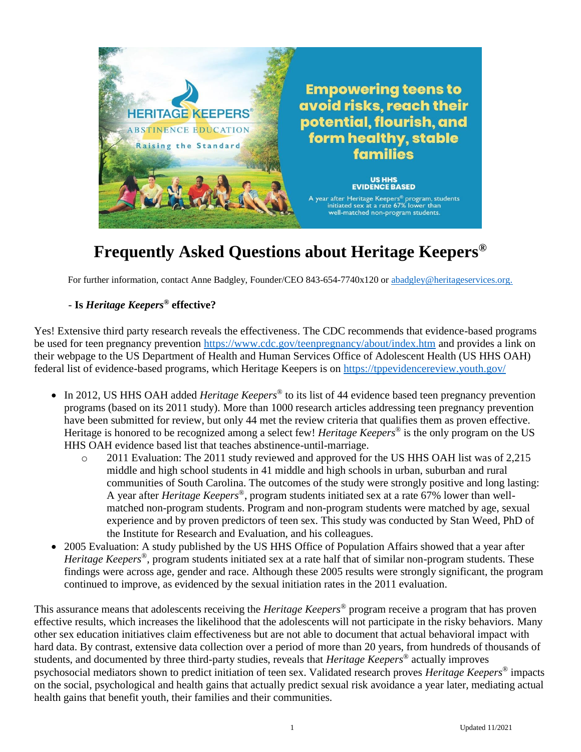

# **Frequently Asked Questions about Heritage Keepers®**

For further information, contact Anne Badgley, Founder/CEO 843-654-7740x120 or [abadgley@heritageservices.org.](mailto:abadgley@heritageservices.org)

#### - **Is** *Heritage Keepers®* **effective?**

Yes! Extensive third party research reveals the effectiveness. The CDC recommends that evidence-based programs be used for teen pregnancy prevention<https://www.cdc.gov/teenpregnancy/about/index.htm> and provides a link on their webpage to the US Department of Health and Human Services Office of Adolescent Health (US HHS OAH) federal list of evidence-based programs, which Heritage Keepers is on<https://tppevidencereview.youth.gov/>

- In 2012, US HHS OAH added *Heritage Keepers®* to its list of 44 evidence based teen pregnancy prevention programs (based on its 2011 study). More than 1000 research articles addressing teen pregnancy prevention have been submitted for review, but only 44 met the review criteria that qualifies them as proven effective. Heritage is honored to be recognized among a select few! *Heritage Keepers®* is the only program on the US HHS OAH evidence based list that teaches abstinence-until-marriage.
	- o 2011 Evaluation: The 2011 study reviewed and approved for the US HHS OAH list was of 2,215 middle and high school students in 41 middle and high schools in urban, suburban and rural communities of South Carolina. The outcomes of the study were strongly positive and long lasting: A year after *Heritage Keepers®* , program students initiated sex at a rate 67% lower than wellmatched non-program students. Program and non-program students were matched by age, sexual experience and by proven predictors of teen sex. This study was conducted by Stan Weed, PhD of the Institute for Research and Evaluation, and his colleagues.
- 2005 Evaluation: A study published by the US HHS Office of Population Affairs showed that a year after *Heritage Keepers®* , program students initiated sex at a rate half that of similar non-program students. These findings were across age, gender and race. Although these 2005 results were strongly significant, the program continued to improve, as evidenced by the sexual initiation rates in the 2011 evaluation.

This assurance means that adolescents receiving the *Heritage Keepers®* program receive a program that has proven effective results, which increases the likelihood that the adolescents will not participate in the risky behaviors. Many other sex education initiatives claim effectiveness but are not able to document that actual behavioral impact with hard data. By contrast, extensive data collection over a period of more than 20 years, from hundreds of thousands of students, and documented by three third-party studies, reveals that *Heritage Keepers®* actually improves psychosocial mediators shown to predict initiation of teen sex. Validated research proves *Heritage Keepers®* impacts on the social, psychological and health gains that actually predict sexual risk avoidance a year later, mediating actual health gains that benefit youth, their families and their communities.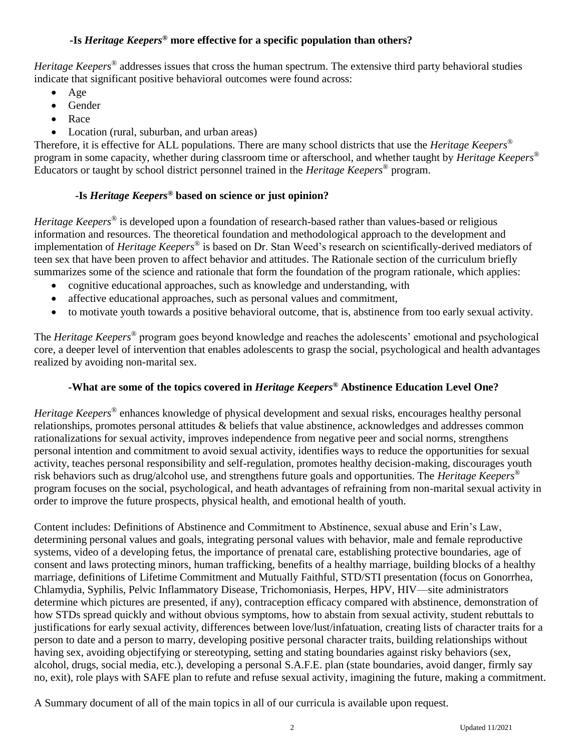### **-Is** *Heritage Keepers®* **more effective for a specific population than others?**

*Heritage Keepers®* addresses issues that cross the human spectrum. The extensive third party behavioral studies indicate that significant positive behavioral outcomes were found across:

- Age
- Gender
- Race
- Location (rural, suburban, and urban areas)

Therefore, it is effective for ALL populations. There are many school districts that use the *Heritage Keepers®*  program in some capacity, whether during classroom time or afterschool, and whether taught by *Heritage Keepers®*  Educators or taught by school district personnel trained in the *Heritage Keepers®* program.

### **-Is** *Heritage Keepers®* **based on science or just opinion?**

*Heritage Keepers®* is developed upon a foundation of research-based rather than values-based or religious information and resources. The theoretical foundation and methodological approach to the development and implementation of *Heritage Keepers®* is based on Dr. Stan Weed's research on scientifically-derived mediators of teen sex that have been proven to affect behavior and attitudes. The Rationale section of the curriculum briefly summarizes some of the science and rationale that form the foundation of the program rationale, which applies:

- cognitive educational approaches, such as knowledge and understanding, with
- affective educational approaches, such as personal values and commitment,
- to motivate youth towards a positive behavioral outcome, that is, abstinence from too early sexual activity.

The *Heritage Keepers®* program goes beyond knowledge and reaches the adolescents' emotional and psychological core, a deeper level of intervention that enables adolescents to grasp the social, psychological and health advantages realized by avoiding non-marital sex.

## **-What are some of the topics covered in** *Heritage Keepers®* **Abstinence Education Level One?**

*Heritage Keepers®* enhances knowledge of physical development and sexual risks, encourages healthy personal relationships, promotes personal attitudes & beliefs that value abstinence, acknowledges and addresses common rationalizations for sexual activity, improves independence from negative peer and social norms, strengthens personal intention and commitment to avoid sexual activity, identifies ways to reduce the opportunities for sexual activity, teaches personal responsibility and self-regulation, promotes healthy decision-making, discourages youth risk behaviors such as drug/alcohol use, and strengthens future goals and opportunities. The *Heritage Keepers®* program focuses on the social, psychological, and heath advantages of refraining from non-marital sexual activity in order to improve the future prospects, physical health, and emotional health of youth.

Content includes: Definitions of Abstinence and Commitment to Abstinence, sexual abuse and Erin's Law, determining personal values and goals, integrating personal values with behavior, male and female reproductive systems, video of a developing fetus, the importance of prenatal care, establishing protective boundaries, age of consent and laws protecting minors, human trafficking, benefits of a healthy marriage, building blocks of a healthy marriage, definitions of Lifetime Commitment and Mutually Faithful, STD/STI presentation (focus on Gonorrhea, Chlamydia, Syphilis, Pelvic Inflammatory Disease, Trichomoniasis, Herpes, HPV, HIV—site administrators determine which pictures are presented, if any), contraception efficacy compared with abstinence, demonstration of how STDs spread quickly and without obvious symptoms, how to abstain from sexual activity, student rebuttals to justifications for early sexual activity, differences between love/lust/infatuation, creating lists of character traits for a person to date and a person to marry, developing positive personal character traits, building relationships without having sex, avoiding objectifying or stereotyping, setting and stating boundaries against risky behaviors (sex, alcohol, drugs, social media, etc.), developing a personal S.A.F.E. plan (state boundaries, avoid danger, firmly say no, exit), role plays with SAFE plan to refute and refuse sexual activity, imagining the future, making a commitment.

A Summary document of all of the main topics in all of our curricula is available upon request.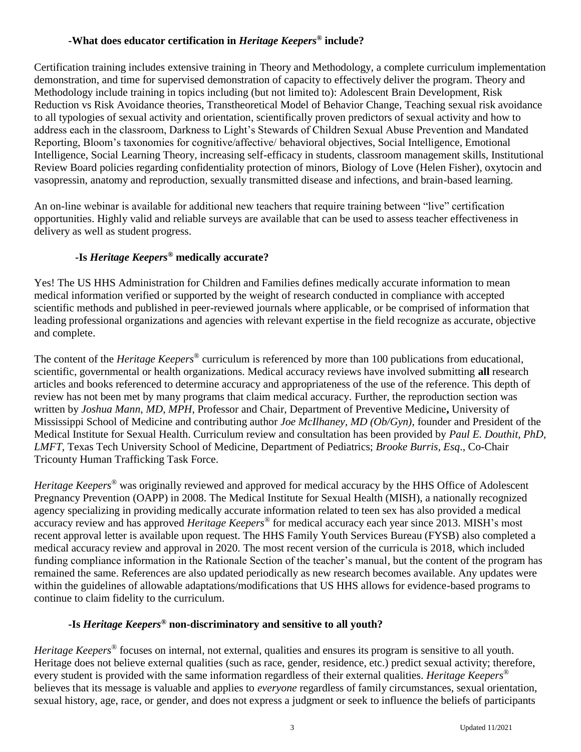#### **-What does educator certification in** *Heritage Keepers®* **include?**

Certification training includes extensive training in Theory and Methodology, a complete curriculum implementation demonstration, and time for supervised demonstration of capacity to effectively deliver the program. Theory and Methodology include training in topics including (but not limited to): Adolescent Brain Development, Risk Reduction vs Risk Avoidance theories, Transtheoretical Model of Behavior Change, Teaching sexual risk avoidance to all typologies of sexual activity and orientation, scientifically proven predictors of sexual activity and how to address each in the classroom, Darkness to Light's Stewards of Children Sexual Abuse Prevention and Mandated Reporting, Bloom's taxonomies for cognitive/affective/ behavioral objectives, Social Intelligence, Emotional Intelligence, Social Learning Theory, increasing self-efficacy in students, classroom management skills, Institutional Review Board policies regarding confidentiality protection of minors, Biology of Love (Helen Fisher), oxytocin and vasopressin, anatomy and reproduction, sexually transmitted disease and infections, and brain-based learning.

An on-line webinar is available for additional new teachers that require training between "live" certification opportunities. Highly valid and reliable surveys are available that can be used to assess teacher effectiveness in delivery as well as student progress.

### **-Is** *Heritage Keepers®* **medically accurate?**

Yes! The US HHS Administration for Children and Families defines medically accurate information to mean medical information verified or supported by the weight of research conducted in compliance with accepted scientific methods and published in peer-reviewed journals where applicable, or be comprised of information that leading professional organizations and agencies with relevant expertise in the field recognize as accurate, objective and complete.

The content of the *Heritage Keepers®* curriculum is referenced by more than 100 publications from educational, scientific, governmental or health organizations. Medical accuracy reviews have involved submitting **all** research articles and books referenced to determine accuracy and appropriateness of the use of the reference. This depth of review has not been met by many programs that claim medical accuracy. Further, the reproduction section was written by *Joshua Mann, MD, MPH*, Professor and Chair, Department of Preventive Medicine**,** University of Mississippi School of Medicine and contributing author *Joe McIlhaney, MD (Ob/Gyn)*, founder and President of the Medical Institute for Sexual Health. Curriculum review and consultation has been provided by *Paul E. Douthit, PhD, LMFT*, Texas Tech University School of Medicine, Department of Pediatrics; *Brooke Burris, Esq*., Co-Chair Tricounty Human Trafficking Task Force.

*Heritage Keepers®* was originally reviewed and approved for medical accuracy by the HHS Office of Adolescent Pregnancy Prevention (OAPP) in 2008. The Medical Institute for Sexual Health (MISH), a nationally recognized agency specializing in providing medically accurate information related to teen sex has also provided a medical accuracy review and has approved *Heritage Keepers®* for medical accuracy each year since 2013. MISH's most recent approval letter is available upon request. The HHS Family Youth Services Bureau (FYSB) also completed a medical accuracy review and approval in 2020. The most recent version of the curricula is 2018, which included funding compliance information in the Rationale Section of the teacher's manual, but the content of the program has remained the same. References are also updated periodically as new research becomes available. Any updates were within the guidelines of allowable adaptations/modifications that US HHS allows for evidence-based programs to continue to claim fidelity to the curriculum.

## **-Is** *Heritage Keepers®* **non-discriminatory and sensitive to all youth?**

*Heritage Keepers®* focuses on internal, not external, qualities and ensures its program is sensitive to all youth. Heritage does not believe external qualities (such as race, gender, residence, etc.) predict sexual activity; therefore, every student is provided with the same information regardless of their external qualities. *Heritage Keepers®* believes that its message is valuable and applies to *everyone* regardless of family circumstances, sexual orientation, sexual history, age, race, or gender, and does not express a judgment or seek to influence the beliefs of participants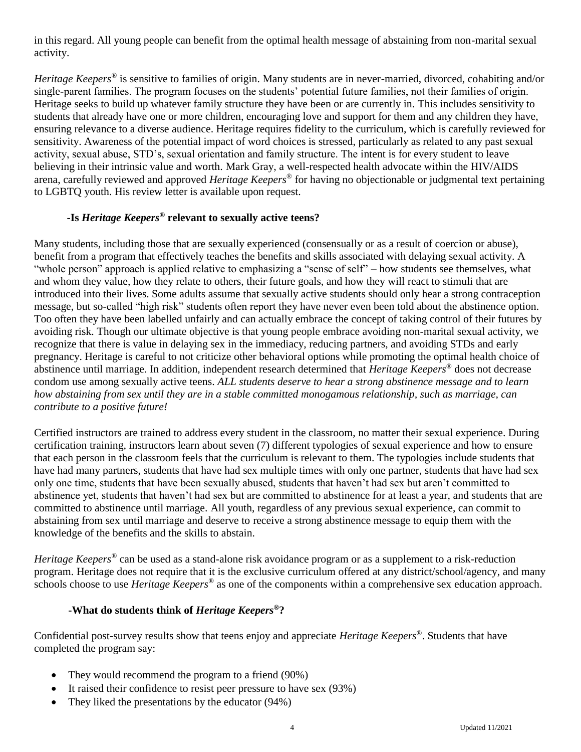in this regard. All young people can benefit from the optimal health message of abstaining from non-marital sexual activity.

*Heritage Keepers®* is sensitive to families of origin. Many students are in never-married, divorced, cohabiting and/or single-parent families. The program focuses on the students' potential future families, not their families of origin. Heritage seeks to build up whatever family structure they have been or are currently in. This includes sensitivity to students that already have one or more children, encouraging love and support for them and any children they have, ensuring relevance to a diverse audience. Heritage requires fidelity to the curriculum, which is carefully reviewed for sensitivity. Awareness of the potential impact of word choices is stressed, particularly as related to any past sexual activity, sexual abuse, STD's, sexual orientation and family structure. The intent is for every student to leave believing in their intrinsic value and worth. Mark Gray, a well-respected health advocate within the HIV/AIDS arena, carefully reviewed and approved *Heritage Keepers®* for having no objectionable or judgmental text pertaining to LGBTQ youth. His review letter is available upon request.

## **-Is** *Heritage Keepers®* **relevant to sexually active teens?**

Many students, including those that are sexually experienced (consensually or as a result of coercion or abuse), benefit from a program that effectively teaches the benefits and skills associated with delaying sexual activity. A "whole person" approach is applied relative to emphasizing a "sense of self" – how students see themselves, what and whom they value, how they relate to others, their future goals, and how they will react to stimuli that are introduced into their lives. Some adults assume that sexually active students should only hear a strong contraception message, but so-called "high risk" students often report they have never even been told about the abstinence option. Too often they have been labelled unfairly and can actually embrace the concept of taking control of their futures by avoiding risk. Though our ultimate objective is that young people embrace avoiding non-marital sexual activity, we recognize that there is value in delaying sex in the immediacy, reducing partners, and avoiding STDs and early pregnancy. Heritage is careful to not criticize other behavioral options while promoting the optimal health choice of abstinence until marriage. In addition, independent research determined that *Heritage Keepers®* does not decrease condom use among sexually active teens. *ALL students deserve to hear a strong abstinence message and to learn how abstaining from sex until they are in a stable committed monogamous relationship, such as marriage, can contribute to a positive future!*

Certified instructors are trained to address every student in the classroom, no matter their sexual experience. During certification training, instructors learn about seven (7) different typologies of sexual experience and how to ensure that each person in the classroom feels that the curriculum is relevant to them. The typologies include students that have had many partners, students that have had sex multiple times with only one partner, students that have had sex only one time, students that have been sexually abused, students that haven't had sex but aren't committed to abstinence yet, students that haven't had sex but are committed to abstinence for at least a year, and students that are committed to abstinence until marriage. All youth, regardless of any previous sexual experience, can commit to abstaining from sex until marriage and deserve to receive a strong abstinence message to equip them with the knowledge of the benefits and the skills to abstain.

*Heritage Keepers®* can be used as a stand-alone risk avoidance program or as a supplement to a risk-reduction program. Heritage does not require that it is the exclusive curriculum offered at any district/school/agency, and many schools choose to use *Heritage Keepers®* as one of the components within a comprehensive sex education approach.

#### **-What do students think of** *Heritage Keepers®***?**

Confidential post-survey results show that teens enjoy and appreciate *Heritage Keepers®* . Students that have completed the program say:

- They would recommend the program to a friend (90%)
- It raised their confidence to resist peer pressure to have sex (93%)
- They liked the presentations by the educator (94%)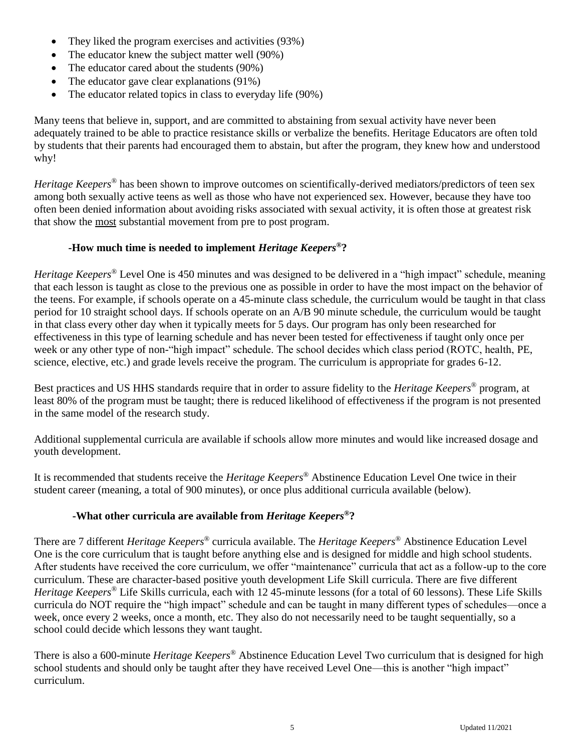- They liked the program exercises and activities (93%)
- The educator knew the subject matter well (90%)
- The educator cared about the students (90%)
- The educator gave clear explanations (91%)
- The educator related topics in class to everyday life (90%)

Many teens that believe in, support, and are committed to abstaining from sexual activity have never been adequately trained to be able to practice resistance skills or verbalize the benefits. Heritage Educators are often told by students that their parents had encouraged them to abstain, but after the program, they knew how and understood why!

*Heritage Keepers®* has been shown to improve outcomes on scientifically-derived mediators/predictors of teen sex among both sexually active teens as well as those who have not experienced sex. However, because they have too often been denied information about avoiding risks associated with sexual activity, it is often those at greatest risk that show the most substantial movement from pre to post program.

### **-How much time is needed to implement** *Heritage Keepers®***?**

*Heritage Keepers®* Level One is 450 minutes and was designed to be delivered in a "high impact" schedule, meaning that each lesson is taught as close to the previous one as possible in order to have the most impact on the behavior of the teens. For example, if schools operate on a 45-minute class schedule, the curriculum would be taught in that class period for 10 straight school days. If schools operate on an A/B 90 minute schedule, the curriculum would be taught in that class every other day when it typically meets for 5 days. Our program has only been researched for effectiveness in this type of learning schedule and has never been tested for effectiveness if taught only once per week or any other type of non-"high impact" schedule. The school decides which class period (ROTC, health, PE, science, elective, etc.) and grade levels receive the program. The curriculum is appropriate for grades 6-12.

Best practices and US HHS standards require that in order to assure fidelity to the *Heritage Keepers®* program, at least 80% of the program must be taught; there is reduced likelihood of effectiveness if the program is not presented in the same model of the research study.

Additional supplemental curricula are available if schools allow more minutes and would like increased dosage and youth development.

It is recommended that students receive the *Heritage Keepers®* Abstinence Education Level One twice in their student career (meaning, a total of 900 minutes), or once plus additional curricula available (below).

### **-What other curricula are available from** *Heritage Keepers®***?**

There are 7 different *Heritage Keepers®* curricula available. The *Heritage Keepers®* Abstinence Education Level One is the core curriculum that is taught before anything else and is designed for middle and high school students. After students have received the core curriculum, we offer "maintenance" curricula that act as a follow-up to the core curriculum. These are character-based positive youth development Life Skill curricula. There are five different *Heritage Keepers®* Life Skills curricula, each with 12 45-minute lessons (for a total of 60 lessons). These Life Skills curricula do NOT require the "high impact" schedule and can be taught in many different types of schedules—once a week, once every 2 weeks, once a month, etc. They also do not necessarily need to be taught sequentially, so a school could decide which lessons they want taught.

There is also a 600-minute *Heritage Keepers®* Abstinence Education Level Two curriculum that is designed for high school students and should only be taught after they have received Level One—this is another "high impact" curriculum.